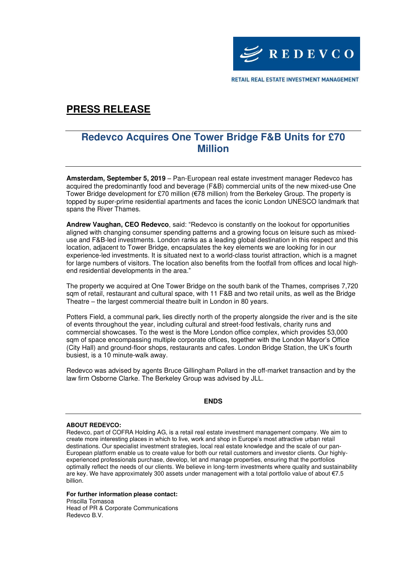

RETAIL REAL ESTATE INVESTMENT MANAGEMENT

# **PRESS RELEASE**

### **Redevco Acquires One Tower Bridge F&B Units for £70 Million**

**Amsterdam, September 5, 2019** – Pan-European real estate investment manager Redevco has acquired the predominantly food and beverage (F&B) commercial units of the new mixed-use One Tower Bridge development for £70 million (€78 million) from the Berkeley Group. The property is topped by super-prime residential apartments and faces the iconic London UNESCO landmark that spans the River Thames.

**Andrew Vaughan, CEO Redevco**, said: "Redevco is constantly on the lookout for opportunities aligned with changing consumer spending patterns and a growing focus on leisure such as mixeduse and F&B-led investments. London ranks as a leading global destination in this respect and this location, adjacent to Tower Bridge, encapsulates the key elements we are looking for in our experience-led investments. It is situated next to a world-class tourist attraction, which is a magnet for large numbers of visitors. The location also benefits from the footfall from offices and local highend residential developments in the area."

The property we acquired at One Tower Bridge on the south bank of the Thames, comprises 7,720 sqm of retail, restaurant and cultural space, with 11 F&B and two retail units, as well as the Bridge Theatre – the largest commercial theatre built in London in 80 years.

Potters Field, a communal park, lies directly north of the property alongside the river and is the site of events throughout the year, including cultural and street-food festivals, charity runs and commercial showcases. To the west is the More London office complex, which provides 53,000 sqm of space encompassing multiple corporate offices, together with the London Mayor's Office (City Hall) and ground-floor shops, restaurants and cafes. London Bridge Station, the UK's fourth busiest, is a 10 minute-walk away.

Redevco was advised by agents Bruce Gillingham Pollard in the off-market transaction and by the law firm Osborne Clarke. The Berkeley Group was advised by JLL.

#### **ENDS**

#### **ABOUT REDEVCO:**

Redevco, part of COFRA Holding AG, is a retail real estate investment management company. We aim to create more interesting places in which to live, work and shop in Europe's most attractive urban retail destinations. Our specialist investment strategies, local real estate knowledge and the scale of our pan-European platform enable us to create value for both our retail customers and investor clients. Our highlyexperienced professionals purchase, develop, let and manage properties, ensuring that the portfolios optimally reflect the needs of our clients. We believe in long-term investments where quality and sustainability are key. We have approximately 300 assets under management with a total portfolio value of about €7.5 billion.

### **For further information please contact:**

Priscilla Tomasoa Head of PR & Corporate Communications Redevco B.V.